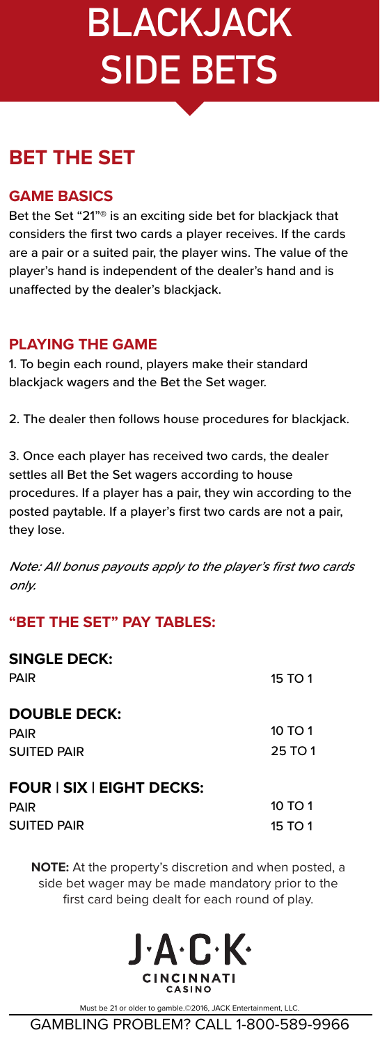# **BLACKJACK SIDE BETS**

### **BET THE SET**

#### **GAME BASICS**

Bet the Set "21"® is an exciting side bet for blackjack that considers the first two cards a player receives. If the cards are a pair or a suited pair, the player wins. The value of the player's hand is independent of the dealer's hand and is unaffected by the dealer's blackjack.

### **PLAYING THE GAME**

1. To begin each round, players make their standard blackjack wagers and the Bet the Set wager.

2. The dealer then follows house procedures for blackjack.

3. Once each player has received two cards, the dealer settles all Bet the Set wagers according to house procedures. If a player has a pair, they win according to the posted paytable. If a player's first two cards are not a pair, they lose.

Note: All bonus payouts apply to the player's first two cards only.

### **"BET THE SET" PAY TABLES:**

| <b>SINGLE DECK:</b><br>PAIR | 15 TO 1 |
|-----------------------------|---------|
| <b>DOUBLE DECK:</b>         |         |
| PAIR                        | 10 TO 1 |
| SUITED PAIR                 | 25 TO 1 |
| FOUR   SIX   EIGHT DECKS:   |         |
| PAIR                        | 10 TO 1 |
| SUITED PAIR                 | 15 TO 1 |
|                             |         |

**NOTE:** At the property's discretion and when posted, a side bet wager may be made mandatory prior to the first card being dealt for each round of play.



Must be 21 or older to gamble.©2016, JACK Entertainment, LLC.

GAMBLING PROBLEM? CALL 1-800-589-9966